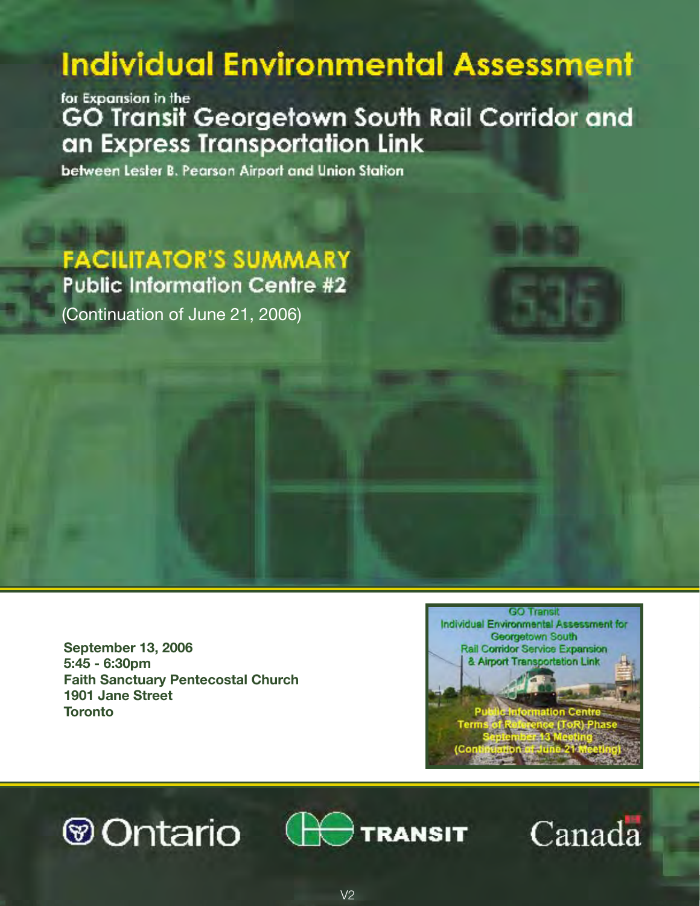# **Individual Environmental Assessment**

for Expansion in the GO Transit Georgetown South Rail Corridor and an Express Transportation Link

between Lester B. Pearson Airport and Union Station

**FACILITATOR'S SUMMARY Public Information Centre #2** 

(Continuation of June 21, 2006)

**September 13, 2006 5:45 - 6:30pm Faith Sanctuary Pentecostal Church 1901 Jane Street Toronto**



# ⊛Ontario



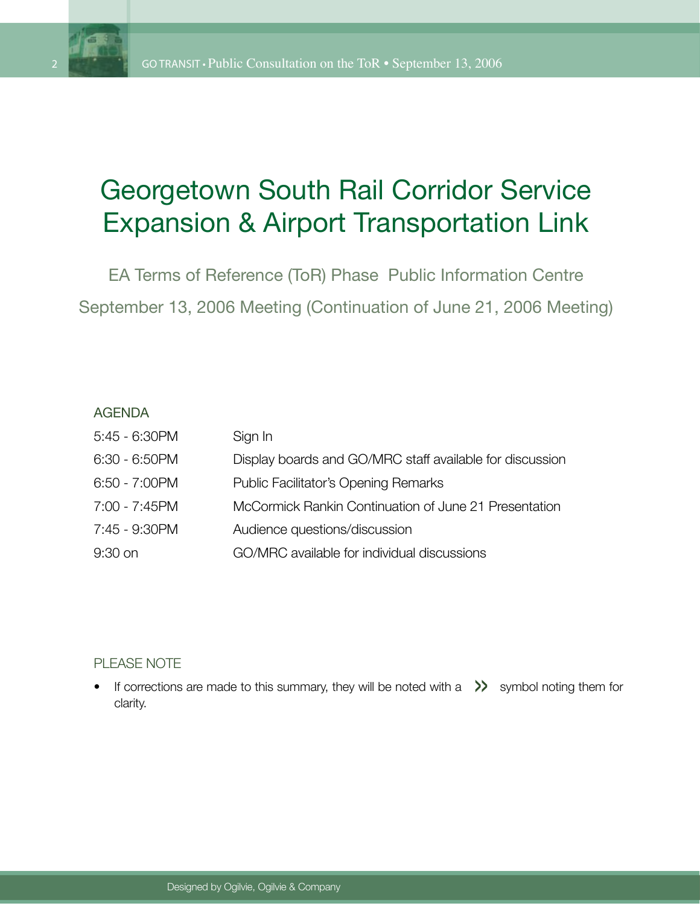

## Georgetown South Rail Corridor Service Expansion & Airport Transportation Link

EA Terms of Reference (ToR) Phase Public Information Centre September 13, 2006 Meeting (Continuation of June 21, 2006 Meeting)

#### AGENDA

| $5:45 - 6:30$ PM | Sign In                                                  |
|------------------|----------------------------------------------------------|
| $6:30 - 6:50$ PM | Display boards and GO/MRC staff available for discussion |
| $6:50 - 7:00$ PM | <b>Public Facilitator's Opening Remarks</b>              |
| 7:00 - 7:45PM    | McCormick Rankin Continuation of June 21 Presentation    |
| 7:45 - 9:30PM    | Audience questions/discussion                            |
| $9:30$ on        | GO/MRC available for individual discussions              |

#### PLEASE NOTE

THOL NOTE<br>If corrections are made to this summary, they will be noted with a  $\gg$  symbol noting them for clarity. •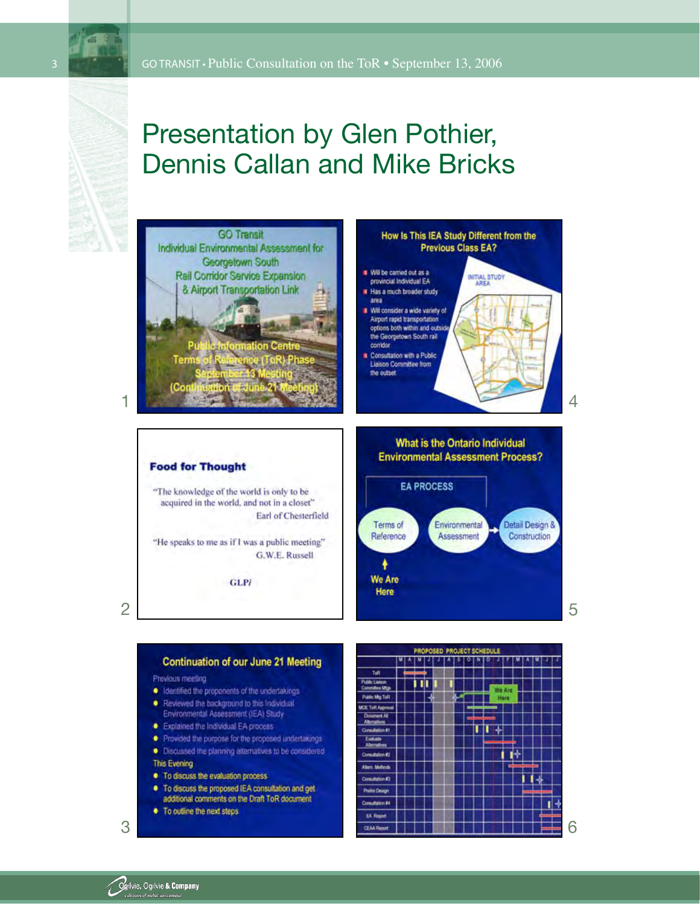

## Presentation by Glen Pothier, Dennis Callan and Mike Bricks



2

#### **Continuation of our June 21 Meeting** Previous meeting · Identified the proponents of the undertakings-. Reviewed the background to this Individual Environmental Assessment (IEA) Study · Explained the Individual EA process . Provided the purpose for the proposed undertakings · Discussed the planning alternatives to be considered This Evening • To discuss the evaluation process. . To discuss the proposed IEA consultation and get

additional comments on the Draft ToR document • To outline the next steps

3

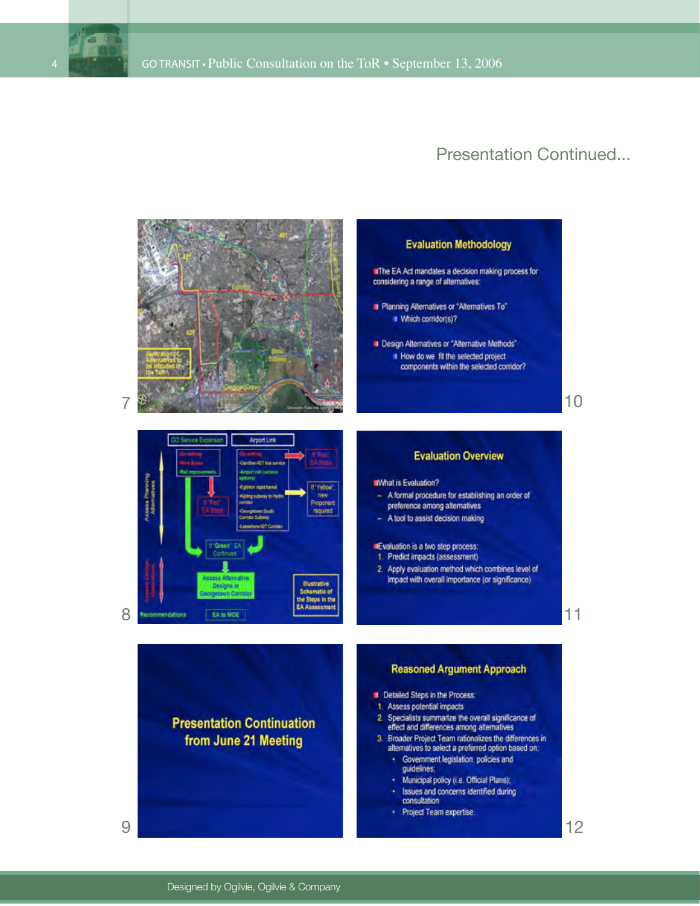

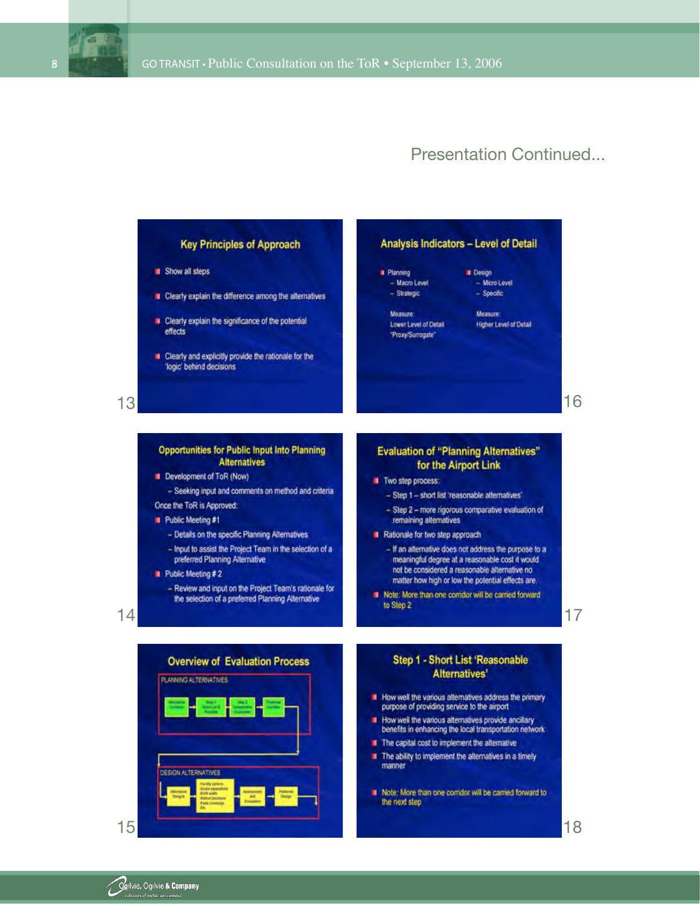

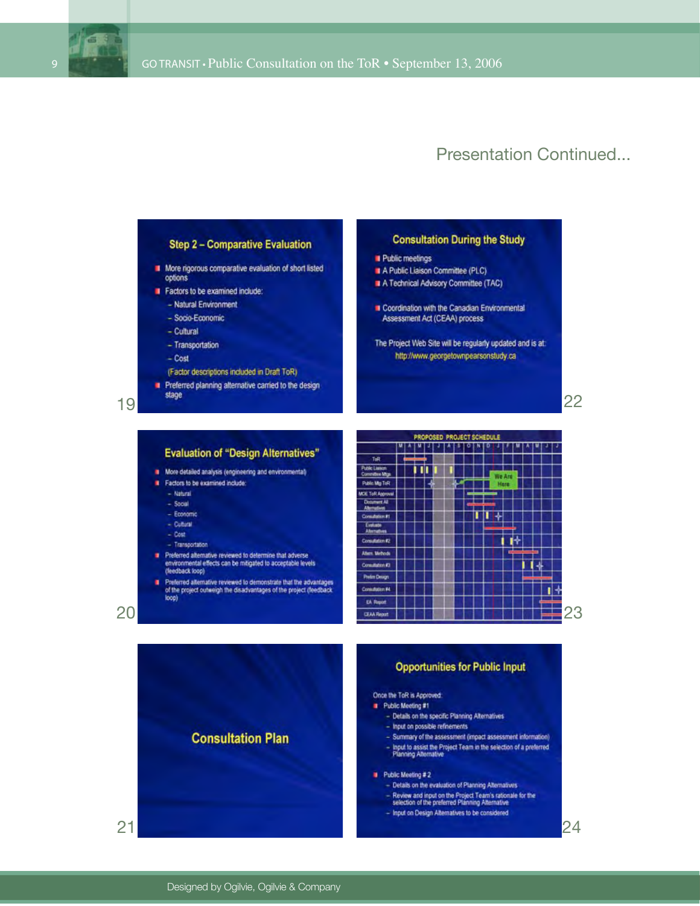

24



**Opportunities for Public Input** Once the ToR is Approved: Public Meeting #1 - Details on the specific Planning Alternatives - Input on possible refinements **Consultation Plan** - Summary of the assessment (impact assessment information)<br>- Input to assist the Project Team in the selection of a preferred<br>Planning Alternative - Summary of the assessment (impact assessment information)  $\blacksquare$  Public Meeting # 2 - Details on the evaluation of Planning Alternatives - Review and input on the Project Team's rationale for the<br>selection of the preferred Planning Alternative - Input on Design Alternatives to be considered

19

20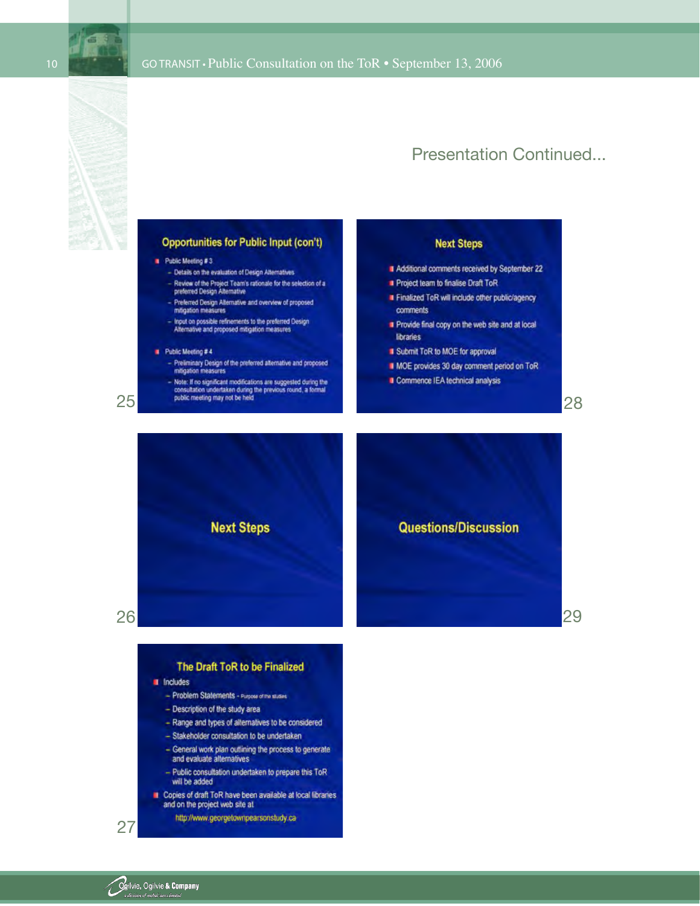



#### **Opportunities for Public Input (con't)**

#### Public Meeting #3

- Details on the evaluation of Design Alternatives
- Review of the Project Team's rationale for the selection of a<br>preferred Design Alternative
- Preferred Design Alternative and overview of proposed<br>miligation measures
- Input on possible refinements to the preferred Design<br>Alternative and proposed mitigation measures

#### $\blacksquare$  Public Meeting # 4

- Preliminary Design of the preferred alternative and proposed mitigation measures
- Note: If no significant modifications are suggested during the<br>consultation undertaken during the previous round, a formal<br>public meeting may not be held

#### **Next Steps**

- Additional comments received by September 22
- Project team to finalise Draft ToR
- Finalized ToR will include other public/agency comments
- Provide final copy on the web site and at local **libraries**
- Submit ToR to MOE for approval
- MOE provides 30 day comment period on ToR

**Questions/Discussion** 

Commence IEA technical analysis

28

29





25

#### The Draft ToR to be Finalized **I** Includes - Problem Statements - Purpose of the studies - Description of the study area - Range and types of alternatives to be considered - Stakeholder consultation to be undertaken - General work plan outlining the process to generate and evaluate alternatives

- Public consultation undertaken to prepare this ToR will be added
- Copies of draft ToR have been available at local libraries and on the project web site at

http://www.georgetownpearsonstudy.ca

27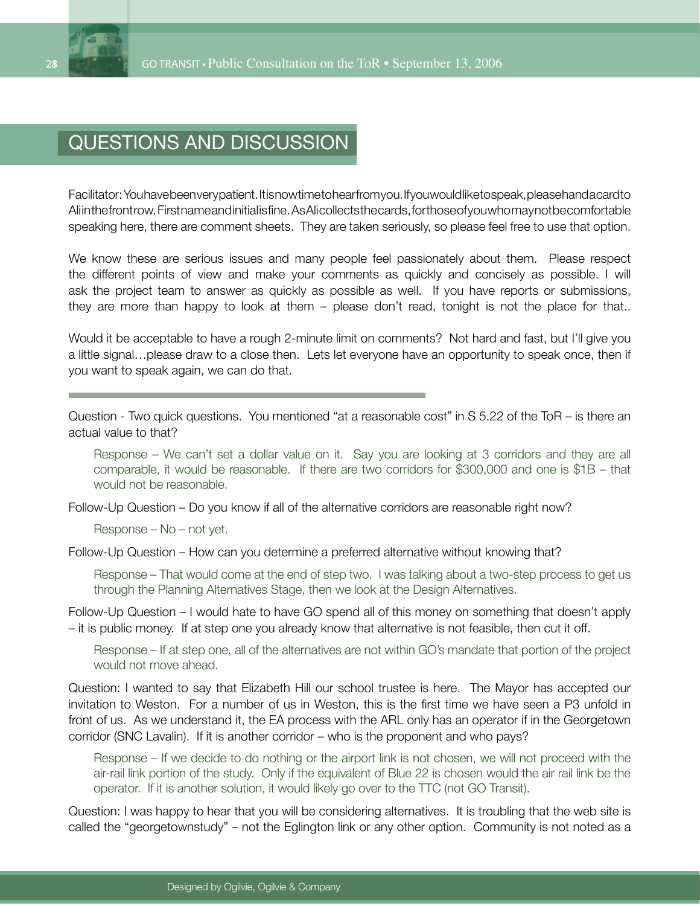

## Questions and Discussion

Facilitator: You have been very patient. It is now time to hear from you. If you would like to speak, please hand a card to Aliinthe front row. First name and initial is fine. As Alicollects the cards, for those of you who may not be comfortable speaking here, there are comment sheets. They are taken seriously, so please feel free to use that option.

We know these are serious issues and many people feel passionately about them. Please respect the different points of view and make your comments as quickly and concisely as possible. I will ask the project team to answer as quickly as possible as well. If you have reports or submissions, they are more than happy to look at them – please don't read, tonight is not the place for that..

Would it be acceptable to have a rough 2-minute limit on comments? Not hard and fast, but I'll give you a little signal…please draw to a close then. Lets let everyone have an opportunity to speak once, then if you want to speak again, we can do that.

Question - Two quick questions. You mentioned "at a reasonable cost" in S 5.22 of the ToR – is there an actual value to that?

Response – We can't set a dollar value on it. Say you are looking at 3 corridors and they are all comparable, it would be reasonable. If there are two corridors for \$300,000 and one is \$1B – that would not be reasonable.

Follow-Up Question – Do you know if all of the alternative corridors are reasonable right now?

Response – No – not yet.

Follow-Up Question – How can you determine a preferred alternative without knowing that?

Response – That would come at the end of step two. I was talking about a two-step process to get us through the Planning Alternatives Stage, then we look at the Design Alternatives.

Follow-Up Question – I would hate to have GO spend all of this money on something that doesn't apply – it is public money. If at step one you already know that alternative is not feasible, then cut it off.

Response – If at step one, all of the alternatives are not within GO's mandate that portion of the project would not move ahead.

Question: I wanted to say that Elizabeth Hill our school trustee is here. The Mayor has accepted our invitation to Weston. For a number of us in Weston, this is the first time we have seen a P3 unfold in front of us. As we understand it, the EA process with the ARL only has an operator if in the Georgetown corridor (SNC Lavalin). If it is another corridor – who is the proponent and who pays?

Response – If we decide to do nothing or the airport link is not chosen, we will not proceed with the air-rail link portion of the study. Only if the equivalent of Blue 22 is chosen would the air rail link be the operator. If it is another solution, it would likely go over to the TTC (not GO Transit).

Question: I was happy to hear that you will be considering alternatives. It is troubling that the web site is called the "georgetownstudy" – not the Eglington link or any other option. Community is not noted as a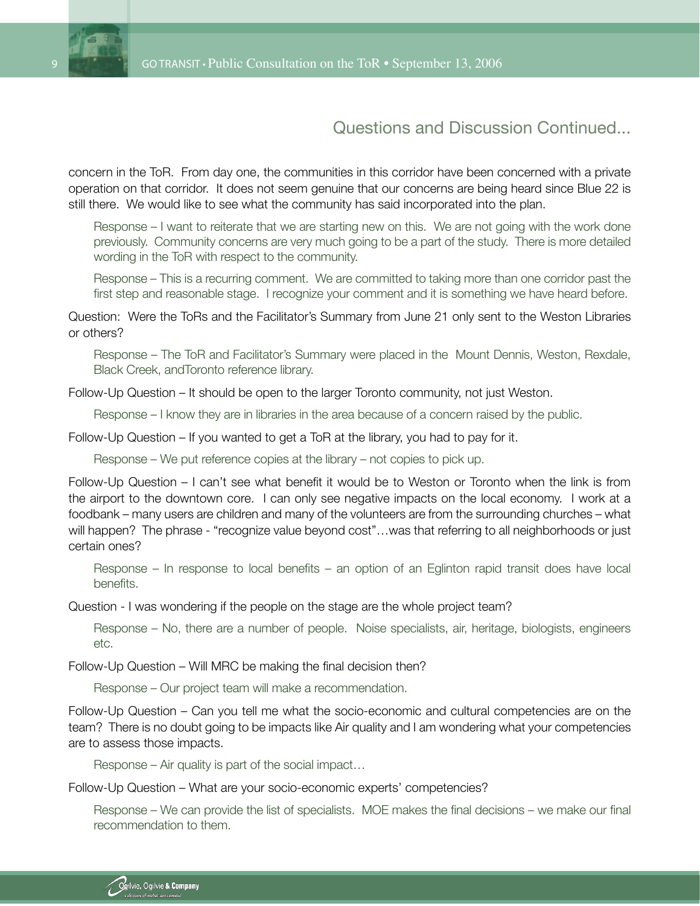

concern in the ToR. From day one, the communities in this corridor have been concerned with a private operation on that corridor. It does not seem genuine that our concerns are being heard since Blue 22 is still there. We would like to see what the community has said incorporated into the plan.

Response – I want to reiterate that we are starting new on this. We are not going with the work done previously. Community concerns are very much going to be a part of the study. There is more detailed wording in the ToR with respect to the community.

Response – This is a recurring comment. We are committed to taking more than one corridor past the first step and reasonable stage. I recognize your comment and it is something we have heard before.

Question: Were the ToRs and the Facilitator's Summary from June 21 only sent to the Weston Libraries or others?

Response – The ToR and Facilitator's Summary were placed in the Mount Dennis, Weston, Rexdale, Black Creek, andToronto reference library.

Follow-Up Question – It should be open to the larger Toronto community, not just Weston.

Response – I know they are in libraries in the area because of a concern raised by the public.

Follow-Up Question – If you wanted to get a ToR at the library, you had to pay for it.

Response – We put reference copies at the library – not copies to pick up.

Follow-Up Question – I can't see what benefit it would be to Weston or Toronto when the link is from the airport to the downtown core. I can only see negative impacts on the local economy. I work at a foodbank – many users are children and many of the volunteers are from the surrounding churches – what will happen? The phrase - "recognize value beyond cost"...was that referring to all neighborhoods or just certain ones?

Response – In response to local benefits – an option of an Eglinton rapid transit does have local benefits.

Question - I was wondering if the people on the stage are the whole project team?

Response – No, there are a number of people. Noise specialists, air, heritage, biologists, engineers etc.

Follow-Up Question – Will MRC be making the final decision then?

Response – Our project team will make a recommendation.

Follow-Up Question – Can you tell me what the socio-economic and cultural competencies are on the team? There is no doubt going to be impacts like Air quality and I am wondering what your competencies are to assess those impacts.

Response – Air quality is part of the social impact…

Follow-Up Question – What are your socio-economic experts' competencies?

Response – We can provide the list of specialists. MOE makes the final decisions – we make our final recommendation to them.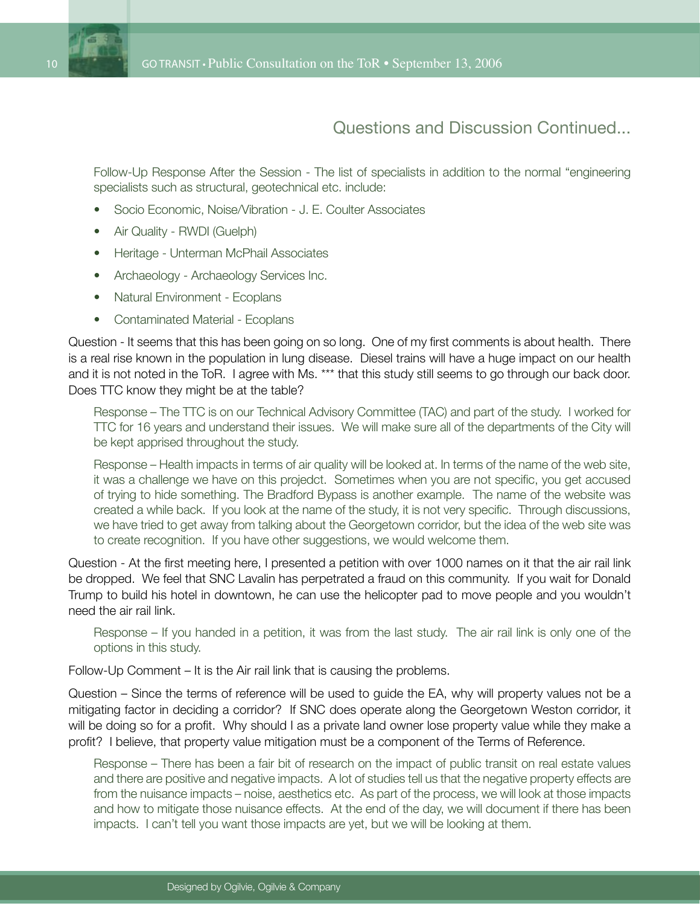Follow-Up Response After the Session - The list of specialists in addition to the normal "engineering specialists such as structural, geotechnical etc. include:

- Socio Economic, Noise/Vibration J. E. Coulter Associates •
- Air Quality RWDI (Guelph)
- Heritage Unterman McPhail Associates
- Archaeology Archaeology Services Inc.
- Natural Environment Ecoplans
- Contaminated Material Ecoplans

Question - It seems that this has been going on so long. One of my first comments is about health. There is a real rise known in the population in lung disease. Diesel trains will have a huge impact on our health and it is not noted in the ToR. I agree with Ms. \*\*\* that this study still seems to go through our back door. Does TTC know they might be at the table?

Response – The TTC is on our Technical Advisory Committee (TAC) and part of the study. I worked for TTC for 16 years and understand their issues. We will make sure all of the departments of the City will be kept apprised throughout the study.

Response – Health impacts in terms of air quality will be looked at. In terms of the name of the web site, it was a challenge we have on this projedct. Sometimes when you are not specific, you get accused of trying to hide something. The Bradford Bypass is another example. The name of the website was created a while back. If you look at the name of the study, it is not very specific. Through discussions, we have tried to get away from talking about the Georgetown corridor, but the idea of the web site was to create recognition. If you have other suggestions, we would welcome them.

Question - At the first meeting here, I presented a petition with over 1000 names on it that the air rail link be dropped. We feel that SNC Lavalin has perpetrated a fraud on this community. If you wait for Donald Trump to build his hotel in downtown, he can use the helicopter pad to move people and you wouldn't need the air rail link.

Response – If you handed in a petition, it was from the last study. The air rail link is only one of the options in this study.

Follow-Up Comment – It is the Air rail link that is causing the problems.

Question – Since the terms of reference will be used to guide the EA, why will property values not be a mitigating factor in deciding a corridor? If SNC does operate along the Georgetown Weston corridor, it will be doing so for a profit. Why should I as a private land owner lose property value while they make a profit? I believe, that property value mitigation must be a component of the Terms of Reference.

Response – There has been a fair bit of research on the impact of public transit on real estate values and there are positive and negative impacts. A lot of studies tell us that the negative property effects are from the nuisance impacts – noise, aesthetics etc. As part of the process, we will look at those impacts and how to mitigate those nuisance effects. At the end of the day, we will document if there has been impacts. I can't tell you want those impacts are yet, but we will be looking at them.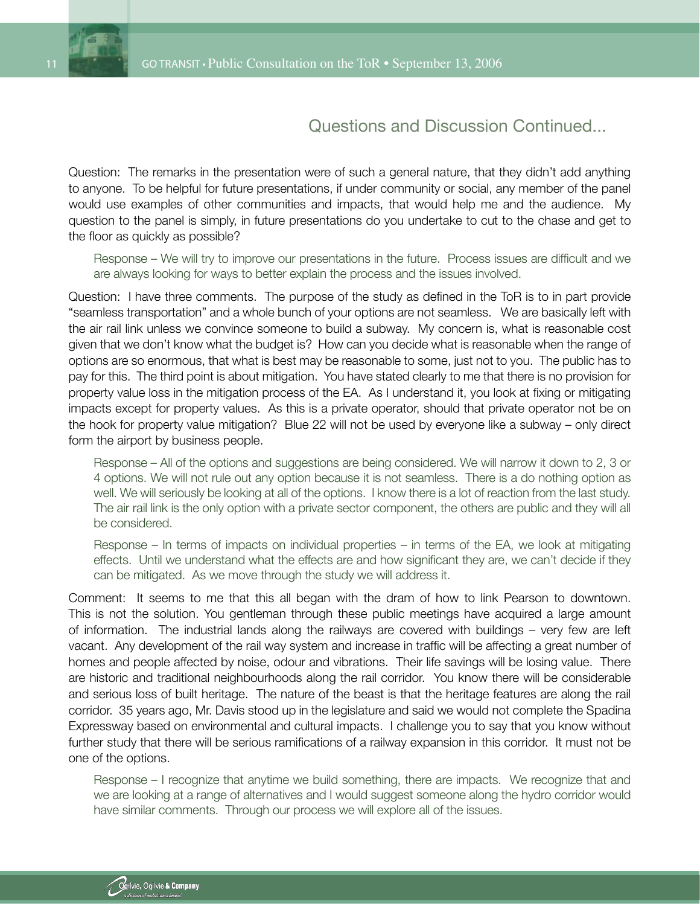

Question: The remarks in the presentation were of such a general nature, that they didn't add anything to anyone. To be helpful for future presentations, if under community or social, any member of the panel would use examples of other communities and impacts, that would help me and the audience. My question to the panel is simply, in future presentations do you undertake to cut to the chase and get to the floor as quickly as possible?

Response – We will try to improve our presentations in the future. Process issues are difficult and we are always looking for ways to better explain the process and the issues involved.

Question: I have three comments. The purpose of the study as defined in the ToR is to in part provide "seamless transportation" and a whole bunch of your options are not seamless. We are basically left with the air rail link unless we convince someone to build a subway. My concern is, what is reasonable cost given that we don't know what the budget is? How can you decide what is reasonable when the range of options are so enormous, that what is best may be reasonable to some, just not to you. The public has to pay for this. The third point is about mitigation. You have stated clearly to me that there is no provision for property value loss in the mitigation process of the EA. As I understand it, you look at fixing or mitigating impacts except for property values. As this is a private operator, should that private operator not be on the hook for property value mitigation? Blue 22 will not be used by everyone like a subway – only direct form the airport by business people.

Response – All of the options and suggestions are being considered. We will narrow it down to 2, 3 or 4 options. We will not rule out any option because it is not seamless. There is a do nothing option as well. We will seriously be looking at all of the options. I know there is a lot of reaction from the last study. The air rail link is the only option with a private sector component, the others are public and they will all be considered.

Response – In terms of impacts on individual properties – in terms of the EA, we look at mitigating effects. Until we understand what the effects are and how significant they are, we can't decide if they can be mitigated. As we move through the study we will address it.

Comment: It seems to me that this all began with the dram of how to link Pearson to downtown. This is not the solution. You gentleman through these public meetings have acquired a large amount of information. The industrial lands along the railways are covered with buildings – very few are left vacant. Any development of the rail way system and increase in traffic will be affecting a great number of homes and people affected by noise, odour and vibrations. Their life savings will be losing value. There are historic and traditional neighbourhoods along the rail corridor. You know there will be considerable and serious loss of built heritage. The nature of the beast is that the heritage features are along the rail corridor. 35 years ago, Mr. Davis stood up in the legislature and said we would not complete the Spadina Expressway based on environmental and cultural impacts. I challenge you to say that you know without further study that there will be serious ramifications of a railway expansion in this corridor. It must not be one of the options.

Response – I recognize that anytime we build something, there are impacts. We recognize that and we are looking at a range of alternatives and I would suggest someone along the hydro corridor would have similar comments. Through our process we will explore all of the issues.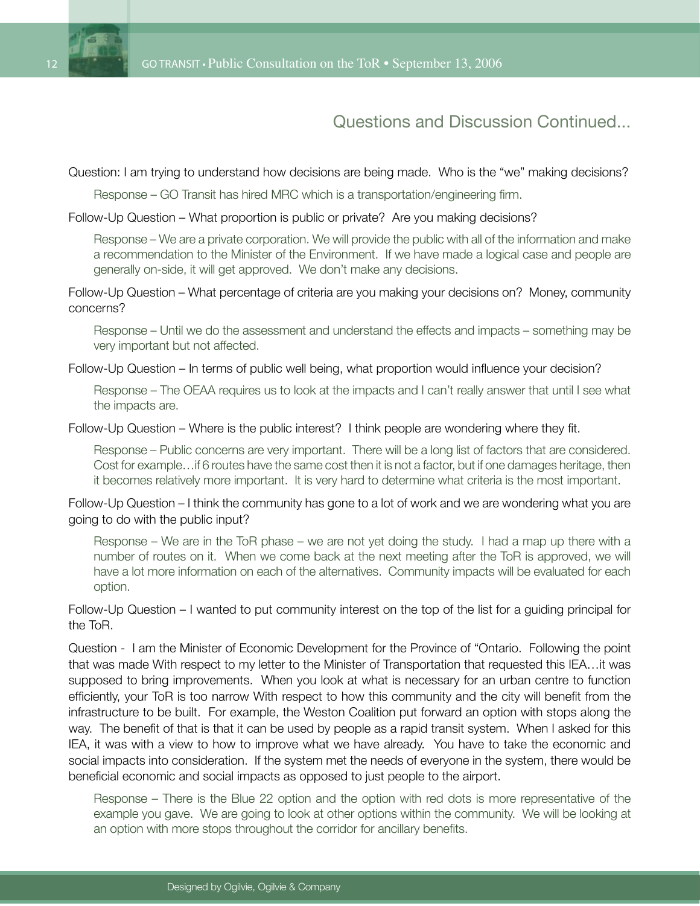

Question: I am trying to understand how decisions are being made. Who is the "we" making decisions?

Response – GO Transit has hired MRC which is a transportation/engineering firm.

Follow-Up Question – What proportion is public or private? Are you making decisions?

Response – We are a private corporation. We will provide the public with all of the information and make a recommendation to the Minister of the Environment. If we have made a logical case and people are generally on-side, it will get approved. We don't make any decisions.

Follow-Up Question – What percentage of criteria are you making your decisions on? Money, community concerns?

Response – Until we do the assessment and understand the effects and impacts – something may be very important but not affected.

Follow-Up Question – In terms of public well being, what proportion would influence your decision?

Response – The OEAA requires us to look at the impacts and I can't really answer that until I see what the impacts are.

Follow-Up Question – Where is the public interest? I think people are wondering where they fit.

Response – Public concerns are very important. There will be a long list of factors that are considered. Cost for example…if 6 routes have the same cost then it is not a factor, but if one damages heritage, then it becomes relatively more important. It is very hard to determine what criteria is the most important.

Follow-Up Question – I think the community has gone to a lot of work and we are wondering what you are going to do with the public input?

Response – We are in the ToR phase – we are not yet doing the study. I had a map up there with a number of routes on it. When we come back at the next meeting after the ToR is approved, we will have a lot more information on each of the alternatives. Community impacts will be evaluated for each option.

Follow-Up Question – I wanted to put community interest on the top of the list for a guiding principal for the ToR.

Question - I am the Minister of Economic Development for the Province of "Ontario. Following the point that was made With respect to my letter to the Minister of Transportation that requested this IEA…it was supposed to bring improvements. When you look at what is necessary for an urban centre to function efficiently, your ToR is too narrow With respect to how this community and the city will benefit from the infrastructure to be built. For example, the Weston Coalition put forward an option with stops along the way. The benefit of that is that it can be used by people as a rapid transit system. When I asked for this IEA, it was with a view to how to improve what we have already. You have to take the economic and social impacts into consideration. If the system met the needs of everyone in the system, there would be beneficial economic and social impacts as opposed to just people to the airport.

Response – There is the Blue 22 option and the option with red dots is more representative of the example you gave. We are going to look at other options within the community. We will be looking at an option with more stops throughout the corridor for ancillary benefits.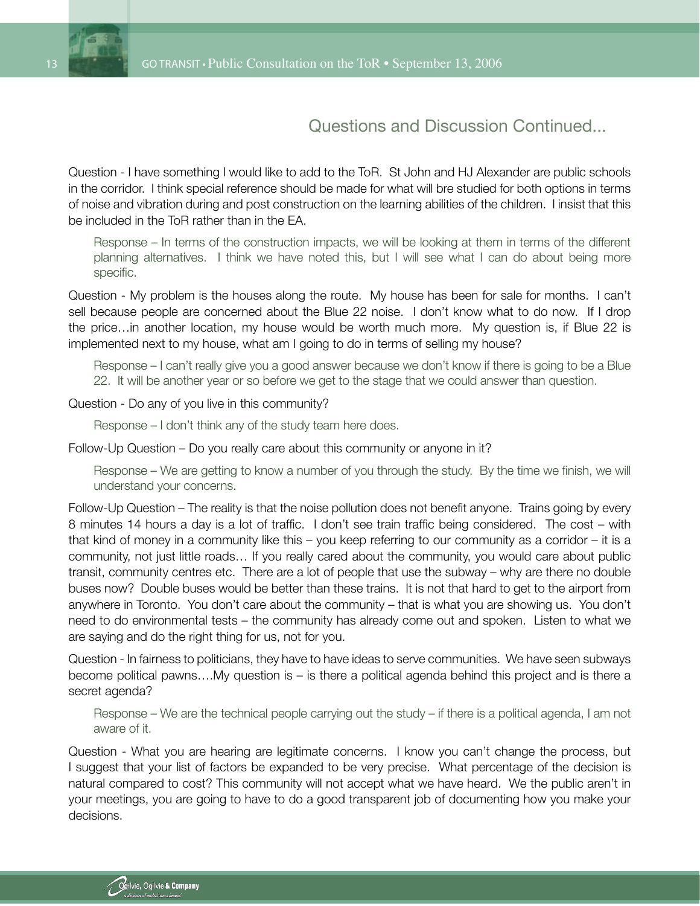

Question - I have something I would like to add to the ToR. St John and HJ Alexander are public schools in the corridor. I think special reference should be made for what will bre studied for both options in terms of noise and vibration during and post construction on the learning abilities of the children. I insist that this be included in the ToR rather than in the EA.

Response – In terms of the construction impacts, we will be looking at them in terms of the different planning alternatives. I think we have noted this, but I will see what I can do about being more specific.

Question - My problem is the houses along the route. My house has been for sale for months. I can't sell because people are concerned about the Blue 22 noise. I don't know what to do now. If I drop the price…in another location, my house would be worth much more. My question is, if Blue 22 is implemented next to my house, what am I going to do in terms of selling my house?

Response – I can't really give you a good answer because we don't know if there is going to be a Blue 22. It will be another year or so before we get to the stage that we could answer than question.

Question - Do any of you live in this community?

Response – I don't think any of the study team here does.

Follow-Up Question – Do you really care about this community or anyone in it?

Response – We are getting to know a number of you through the study. By the time we finish, we will understand your concerns.

Follow-Up Question – The reality is that the noise pollution does not benefit anyone. Trains going by every 8 minutes 14 hours a day is a lot of traffic. I don't see train traffic being considered. The cost – with that kind of money in a community like this – you keep referring to our community as a corridor – it is a community, not just little roads… If you really cared about the community, you would care about public transit, community centres etc. There are a lot of people that use the subway – why are there no double buses now? Double buses would be better than these trains. It is not that hard to get to the airport from anywhere in Toronto. You don't care about the community – that is what you are showing us. You don't need to do environmental tests – the community has already come out and spoken. Listen to what we are saying and do the right thing for us, not for you.

Question - In fairness to politicians, they have to have ideas to serve communities. We have seen subways become political pawns….My question is – is there a political agenda behind this project and is there a secret agenda?

Response – We are the technical people carrying out the study – if there is a political agenda, I am not aware of it.

Question - What you are hearing are legitimate concerns. I know you can't change the process, but I suggest that your list of factors be expanded to be very precise. What percentage of the decision is natural compared to cost? This community will not accept what we have heard. We the public aren't in your meetings, you are going to have to do a good transparent job of documenting how you make your decisions.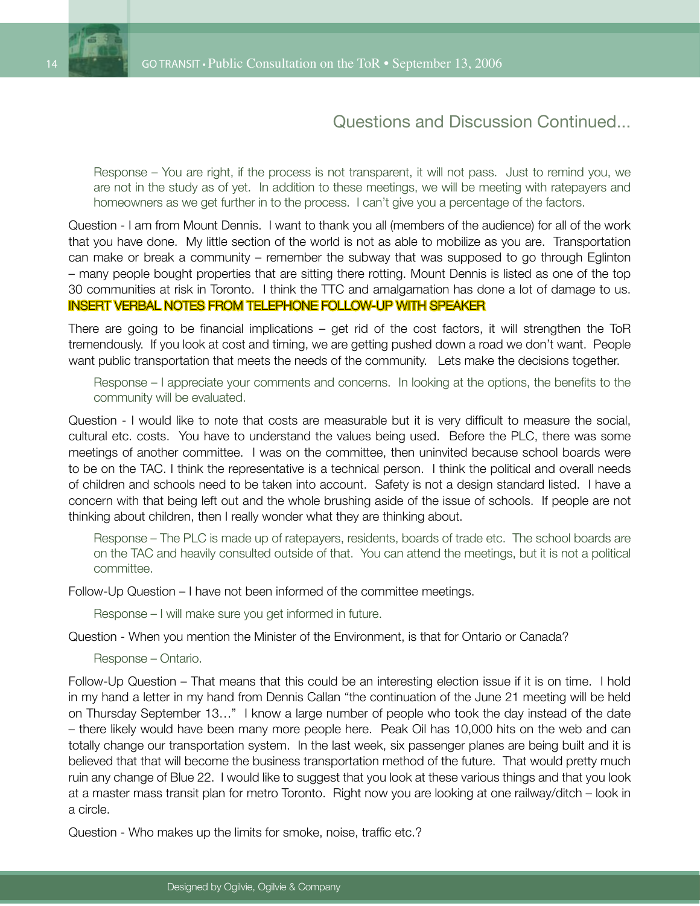

Response – You are right, if the process is not transparent, it will not pass. Just to remind you, we are not in the study as of yet. In addition to these meetings, we will be meeting with ratepayers and homeowners as we get further in to the process. I can't give you a percentage of the factors.

Question - I am from Mount Dennis. I want to thank you all (members of the audience) for all of the work that you have done. My little section of the world is not as able to mobilize as you are. Transportation can make or break a community – remember the subway that was supposed to go through Eglinton – many people bought properties that are sitting there rotting. Mount Dennis is listed as one of the top 30 communities at risk in Toronto. I think the TTC and amalgamation has done a lot of damage to us. INSERT VERBAL NOTES FROM TELEPHONE FOLLOW-UP WITH SPEAKER

There are going to be financial implications – get rid of the cost factors, it will strengthen the ToR tremendously. If you look at cost and timing, we are getting pushed down a road we don't want. People want public transportation that meets the needs of the community. Lets make the decisions together.

Response – I appreciate your comments and concerns. In looking at the options, the benefits to the community will be evaluated.

Question - I would like to note that costs are measurable but it is very difficult to measure the social, cultural etc. costs. You have to understand the values being used. Before the PLC, there was some meetings of another committee. I was on the committee, then uninvited because school boards were to be on the TAC. I think the representative is a technical person. I think the political and overall needs of children and schools need to be taken into account. Safety is not a design standard listed. I have a concern with that being left out and the whole brushing aside of the issue of schools. If people are not thinking about children, then I really wonder what they are thinking about.

Response – The PLC is made up of ratepayers, residents, boards of trade etc. The school boards are on the TAC and heavily consulted outside of that. You can attend the meetings, but it is not a political committee.

Follow-Up Question – I have not been informed of the committee meetings.

Response – I will make sure you get informed in future.

Question - When you mention the Minister of the Environment, is that for Ontario or Canada?

Response – Ontario.

Follow-Up Question – That means that this could be an interesting election issue if it is on time. I hold in my hand a letter in my hand from Dennis Callan "the continuation of the June 21 meeting will be held on Thursday September 13…" I know a large number of people who took the day instead of the date – there likely would have been many more people here. Peak Oil has 10,000 hits on the web and can totally change our transportation system. In the last week, six passenger planes are being built and it is believed that that will become the business transportation method of the future. That would pretty much ruin any change of Blue 22. I would like to suggest that you look at these various things and that you look at a master mass transit plan for metro Toronto. Right now you are looking at one railway/ditch – look in a circle.

Question - Who makes up the limits for smoke, noise, traffic etc.?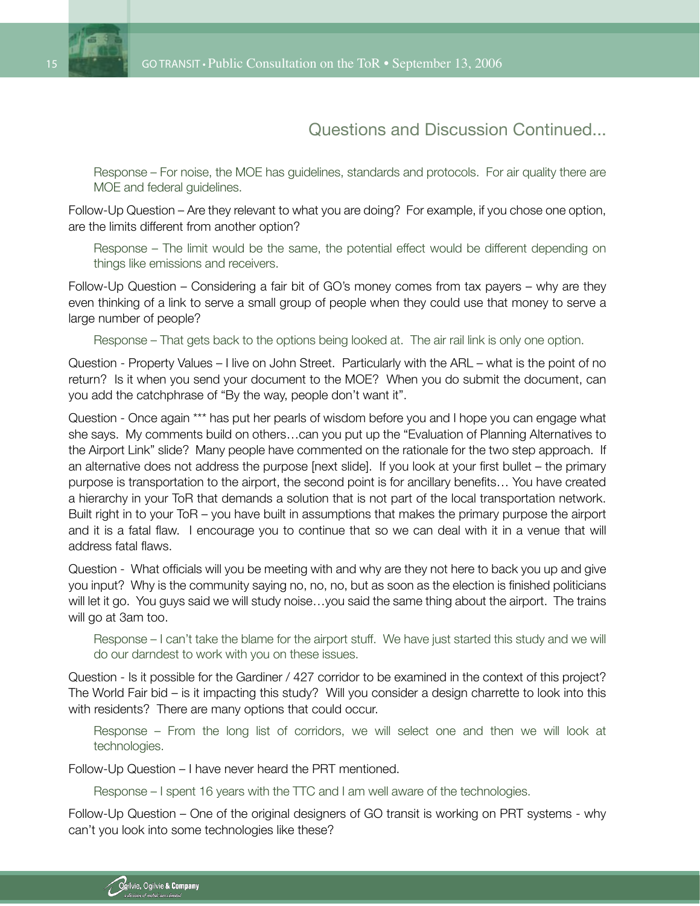



Response – For noise, the MOE has guidelines, standards and protocols. For air quality there are MOE and federal guidelines.

Follow-Up Question – Are they relevant to what you are doing? For example, if you chose one option, are the limits different from another option?

Response – The limit would be the same, the potential effect would be different depending on things like emissions and receivers.

Follow-Up Question – Considering a fair bit of GO's money comes from tax payers – why are they even thinking of a link to serve a small group of people when they could use that money to serve a large number of people?

Response – That gets back to the options being looked at. The air rail link is only one option.

Question - Property Values – I live on John Street. Particularly with the ARL – what is the point of no return? Is it when you send your document to the MOE? When you do submit the document, can you add the catchphrase of "By the way, people don't want it".

Question - Once again \*\*\* has put her pearls of wisdom before you and I hope you can engage what she says. My comments build on others…can you put up the "Evaluation of Planning Alternatives to the Airport Link" slide? Many people have commented on the rationale for the two step approach. If an alternative does not address the purpose [next slide]. If you look at your first bullet – the primary purpose is transportation to the airport, the second point is for ancillary benefits… You have created a hierarchy in your ToR that demands a solution that is not part of the local transportation network. Built right in to your ToR – you have built in assumptions that makes the primary purpose the airport and it is a fatal flaw. I encourage you to continue that so we can deal with it in a venue that will address fatal flaws.

Question - What officials will you be meeting with and why are they not here to back you up and give you input? Why is the community saying no, no, no, but as soon as the election is finished politicians will let it go. You guys said we will study noise…you said the same thing about the airport. The trains will go at 3am too.

Response – I can't take the blame for the airport stuff. We have just started this study and we will do our darndest to work with you on these issues.

Question - Is it possible for the Gardiner / 427 corridor to be examined in the context of this project? The World Fair bid – is it impacting this study? Will you consider a design charrette to look into this with residents? There are many options that could occur.

Response – From the long list of corridors, we will select one and then we will look at technologies.

Follow-Up Question – I have never heard the PRT mentioned.

Response – I spent 16 years with the TTC and I am well aware of the technologies.

Follow-Up Question – One of the original designers of GO transit is working on PRT systems - why can't you look into some technologies like these?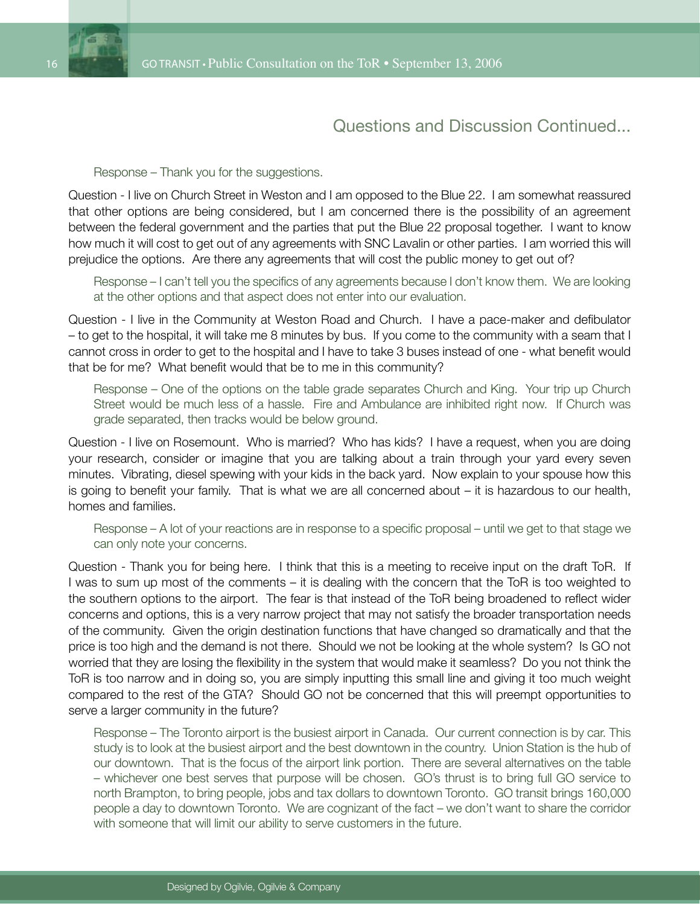

#### Response – Thank you for the suggestions.

Question - I live on Church Street in Weston and I am opposed to the Blue 22. I am somewhat reassured that other options are being considered, but I am concerned there is the possibility of an agreement between the federal government and the parties that put the Blue 22 proposal together. I want to know how much it will cost to get out of any agreements with SNC Lavalin or other parties. I am worried this will prejudice the options. Are there any agreements that will cost the public money to get out of?

Response – I can't tell you the specifics of any agreements because I don't know them. We are looking at the other options and that aspect does not enter into our evaluation.

Question - I live in the Community at Weston Road and Church. I have a pace-maker and defibulator – to get to the hospital, it will take me 8 minutes by bus. If you come to the community with a seam that I cannot cross in order to get to the hospital and I have to take 3 buses instead of one - what benefit would that be for me? What benefit would that be to me in this community?

Response – One of the options on the table grade separates Church and King. Your trip up Church Street would be much less of a hassle. Fire and Ambulance are inhibited right now. If Church was grade separated, then tracks would be below ground.

Question - I live on Rosemount. Who is married? Who has kids? I have a request, when you are doing your research, consider or imagine that you are talking about a train through your yard every seven minutes. Vibrating, diesel spewing with your kids in the back yard. Now explain to your spouse how this is going to benefit your family. That is what we are all concerned about – it is hazardous to our health, homes and families.

Response – A lot of your reactions are in response to a specific proposal – until we get to that stage we can only note your concerns.

Question - Thank you for being here. I think that this is a meeting to receive input on the draft ToR. If I was to sum up most of the comments – it is dealing with the concern that the ToR is too weighted to the southern options to the airport. The fear is that instead of the ToR being broadened to reflect wider concerns and options, this is a very narrow project that may not satisfy the broader transportation needs of the community. Given the origin destination functions that have changed so dramatically and that the price is too high and the demand is not there. Should we not be looking at the whole system? Is GO not worried that they are losing the flexibility in the system that would make it seamless? Do you not think the ToR is too narrow and in doing so, you are simply inputting this small line and giving it too much weight compared to the rest of the GTA? Should GO not be concerned that this will preempt opportunities to serve a larger community in the future?

Response – The Toronto airport is the busiest airport in Canada. Our current connection is by car. This study is to look at the busiest airport and the best downtown in the country. Union Station is the hub of our downtown. That is the focus of the airport link portion. There are several alternatives on the table – whichever one best serves that purpose will be chosen. GO's thrust is to bring full GO service to north Brampton, to bring people, jobs and tax dollars to downtown Toronto. GO transit brings 160,000 people a day to downtown Toronto. We are cognizant of the fact – we don't want to share the corridor with someone that will limit our ability to serve customers in the future.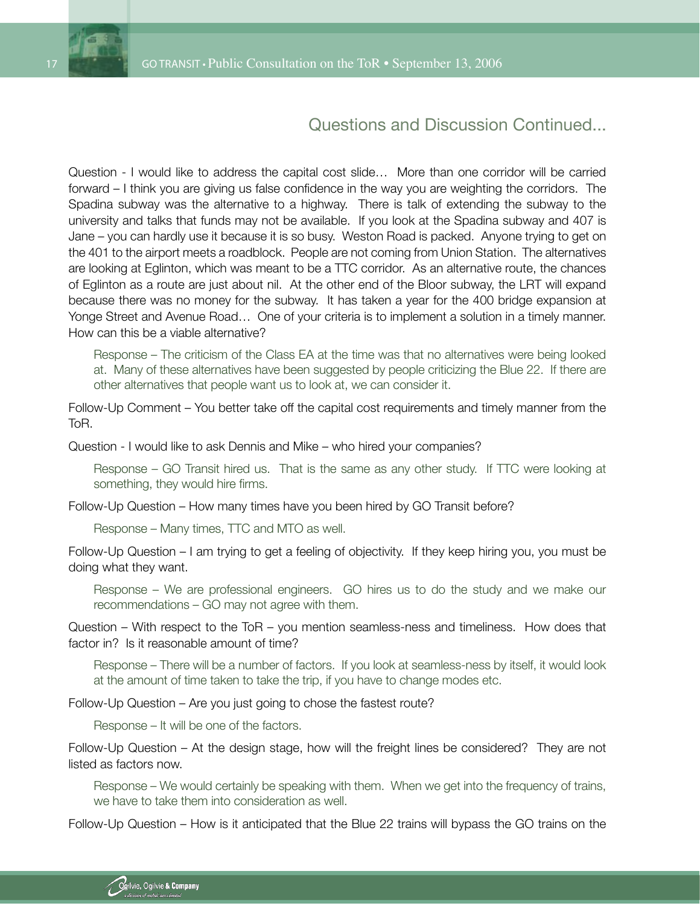

Question - I would like to address the capital cost slide… More than one corridor will be carried forward – I think you are giving us false confidence in the way you are weighting the corridors. The Spadina subway was the alternative to a highway. There is talk of extending the subway to the university and talks that funds may not be available. If you look at the Spadina subway and 407 is Jane – you can hardly use it because it is so busy. Weston Road is packed. Anyone trying to get on the 401 to the airport meets a roadblock. People are not coming from Union Station. The alternatives are looking at Eglinton, which was meant to be a TTC corridor. As an alternative route, the chances of Eglinton as a route are just about nil. At the other end of the Bloor subway, the LRT will expand because there was no money for the subway. It has taken a year for the 400 bridge expansion at Yonge Street and Avenue Road… One of your criteria is to implement a solution in a timely manner. How can this be a viable alternative?

Response – The criticism of the Class EA at the time was that no alternatives were being looked at. Many of these alternatives have been suggested by people criticizing the Blue 22. If there are other alternatives that people want us to look at, we can consider it.

Follow-Up Comment – You better take off the capital cost requirements and timely manner from the ToR.

Question - I would like to ask Dennis and Mike – who hired your companies?

Response – GO Transit hired us. That is the same as any other study. If TTC were looking at something, they would hire firms.

Follow-Up Question – How many times have you been hired by GO Transit before?

Response – Many times, TTC and MTO as well.

Follow-Up Question – I am trying to get a feeling of objectivity. If they keep hiring you, you must be doing what they want.

Response – We are professional engineers. GO hires us to do the study and we make our recommendations – GO may not agree with them.

Question – With respect to the ToR – you mention seamless-ness and timeliness. How does that factor in? Is it reasonable amount of time?

Response – There will be a number of factors. If you look at seamless-ness by itself, it would look at the amount of time taken to take the trip, if you have to change modes etc.

Follow-Up Question – Are you just going to chose the fastest route?

Response – It will be one of the factors.

Follow-Up Question – At the design stage, how will the freight lines be considered? They are not listed as factors now.

Response – We would certainly be speaking with them. When we get into the frequency of trains, we have to take them into consideration as well.

Follow-Up Question – How is it anticipated that the Blue 22 trains will bypass the GO trains on the